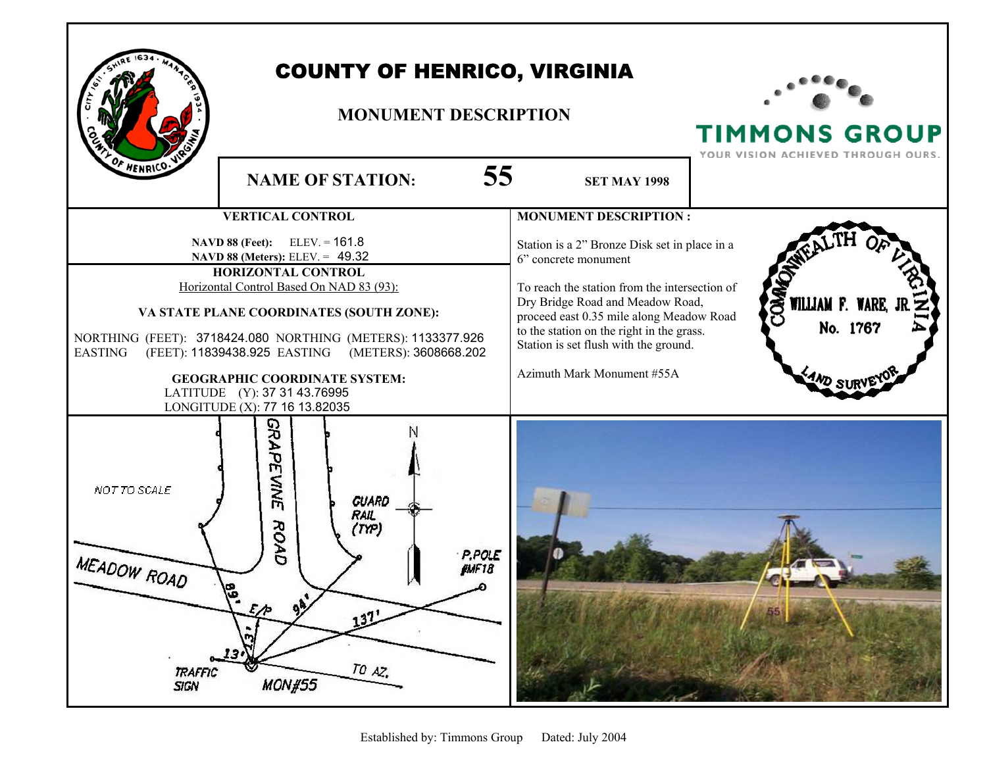